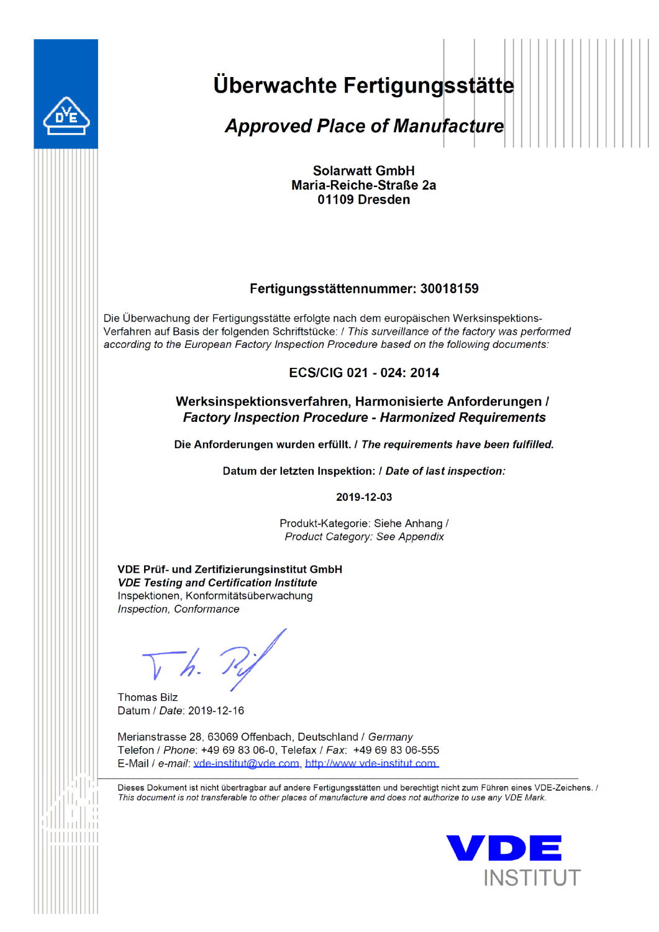

# Überwachte Fertigungsstätte

**Approved Place of Manufacture** 

**Solarwatt GmbH Maria-Reiche-Straße 2a** 01109 Dresden

## Fertigungsstättennummer: 30018159

Die Überwachung der Fertigungsstätte erfolgte nach dem europäischen Werksinspektions-Verfahren auf Basis der folgenden Schriftstücke: / This surveillance of the factory was performed according to the European Factory Inspection Procedure based on the following documents:

## ECS/CIG 021 - 024: 2014

### Werksinspektionsverfahren, Harmonisierte Anforderungen / **Factory Inspection Procedure - Harmonized Requirements**

Die Anforderungen wurden erfüllt. / The requirements have been fulfilled.

Datum der letzten Inspektion: / Date of last inspection:

#### 2019-12-03

Produkt-Kategorie: Siehe Anhang / Product Category: See Appendix

VDE Prüf- und Zertifizierungsinstitut GmbH **VDE Testing and Certification Institute** Inspektionen, Konformitätsüberwachung Inspection, Conformance

**Thomas Bilz** Datum / Date: 2019-12-16

Merianstrasse 28, 63069 Offenbach, Deutschland / Germany Telefon / Phone: +49 69 83 06-0, Telefax / Fax: +49 69 83 06-555 E-Mail / e-mail: vde-institut@vde.com, http://www.vde-institut.com.

Dieses Dokument ist nicht übertragbar auf andere Fertigungsstätten und berechtigt nicht zum Führen eines VDE-Zeichens. / This document is not transferable to other places of manufacture and does not authorize to use any VDE Mark.

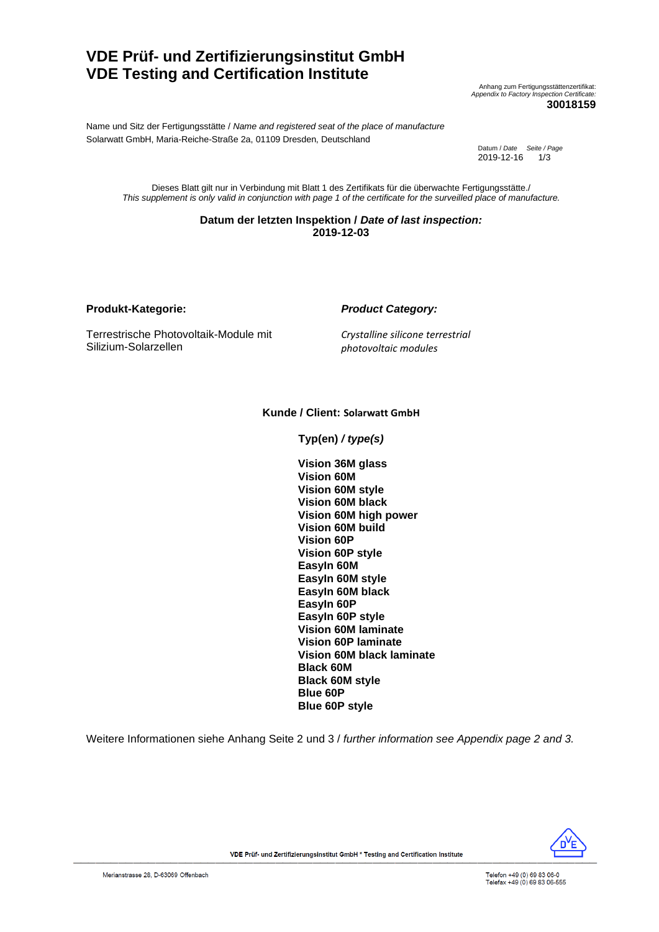## **VDE Prüf- und Zertifizierungsinstitut GmbH VDE Testing and Certification Institute**

Anhang zum Fertigungsstättenzertifikat: *Appendix to Factory Inspection Certificate:* **30018159**

Name und Sitz der Fertigungsstätte / *Name and registered seat of the place of manufacture* Solarwatt GmbH, Maria-Reiche-Straße 2a, 01109 Dresden, Deutschland

Datum / *Date Seite / Page*  2019-12-16

Dieses Blatt gilt nur in Verbindung mit Blatt 1 des Zertifikats für die überwachte Fertigungsstätte./ *This supplement is only valid in conjunction with page 1 of the certificate for the surveilled place of manufacture.*

> **Datum der letzten Inspektion /** *Date of last inspection:* **2019-12-03**

**Produkt-Kategorie:** *Product Category:*

Terrestrische Photovoltaik-Module mit Silizium-Solarzellen

*Crystalline silicone terrestrial photovoltaic modules*

#### **Kunde / Client: Solarwatt GmbH**

**Typ(en)** */ type(s)*

**Vision 36M glass Vision 60M Vision 60M style Vision 60M black Vision 60M high power Vision 60M build Vision 60P Vision 60P style EasyIn 60M EasyIn 60M style EasyIn 60M black EasyIn 60P EasyIn 60P style Vision 60M laminate Vision 60P laminate Vision 60M black laminate Black 60M Black 60M style Blue 60P Blue 60P style**

Weitere Informationen siehe Anhang Seite 2 und 3 / *further information see Appendix page 2 and 3.*



VDE Prüf- und Zertifizierungsinstitut GmbH \* Testing and Certification Institute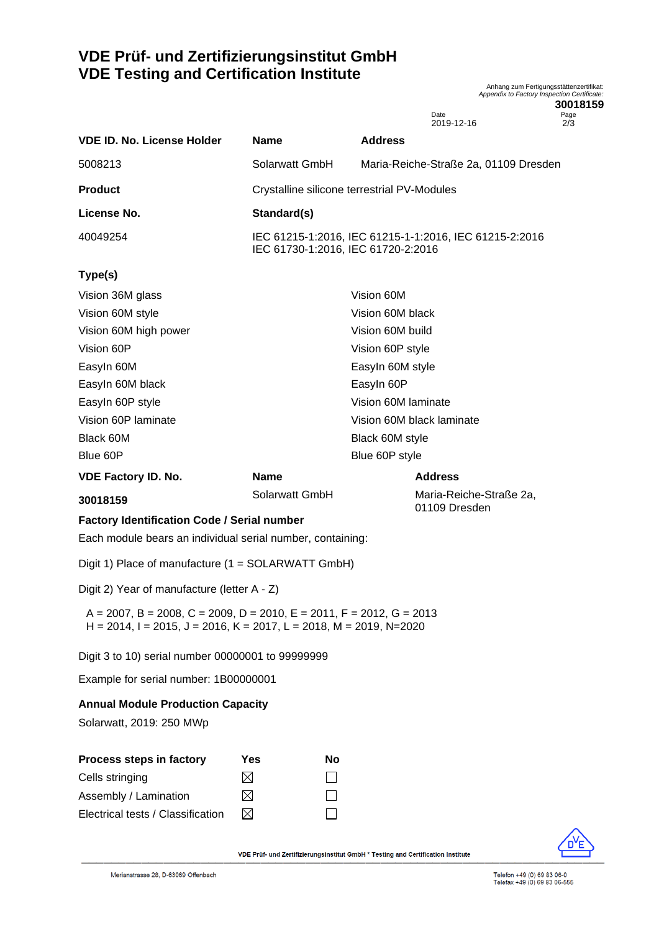# **VDE Prüf- und Zertifizierungsinstitut GmbH VDE Testing and Certification Institute**

**30018159** Date Page<br>2019-12-16 2/3 2019-12-16 **VDE ID. No. License Holder Name Address** 5008213 Solarwatt GmbH Maria-Reiche-Straße 2a, 01109 Dresden **Product** Crystalline silicone terrestrial PV-Modules **License No. Standard(s)** 40049254 IEC 61215-1:2016, IEC 61215-1-1:2016, IEC 61215-2:2016 IEC 61730-1:2016, IEC 61720-2:2016 **Type(s)** Vision 36M glass Vision 60M Vision 60M style Vision 60M black Vision 60M high power Vision 60M build Vision 60P Vision 60P style EasyIn 60M **EasyIn 60M** style EasyIn 60M black EasyIn 60P EasyIn 60P style Vision 60M laminate Vision 60P laminate Vision 60M black laminate Black 60M Black 60M style Blue 60P Blue 60P style **VDE Factory ID. No. Name Address 30018159** Solarwatt GmbH Maria-Reiche-Straße 2a, 01109 Dresden **Factory Identification Code / Serial number** Each module bears an individual serial number, containing: Digit 1) Place of manufacture (1 = SOLARWATT GmbH) Digit 2) Year of manufacture (letter A - Z)  $A = 2007$ ,  $B = 2008$ ,  $C = 2009$ ,  $D = 2010$ ,  $E = 2011$ ,  $F = 2012$ ,  $G = 2013$  $H = 2014$ ,  $I = 2015$ ,  $J = 2016$ ,  $K = 2017$ ,  $L = 2018$ ,  $M = 2019$ ,  $N = 2020$ Digit 3 to 10) serial number 00000001 to 99999999 Example for serial number: 1B00000001 **Annual Module Production Capacity** Solarwatt, 2019: 250 MWp **Process steps in factory Yes No** Cells stringing  $\boxtimes$ П Assembly / Lamination  $\boxtimes$  $\Box$ Electrical tests / Classification $\boxtimes$ П

VDE Prüf- und Zertifizierungsinstitut GmbH \* Testing and Certification Institute

Anhang zum Fertigungsstättenzertifikat: *Appendix to Factory Inspection Certificate:*